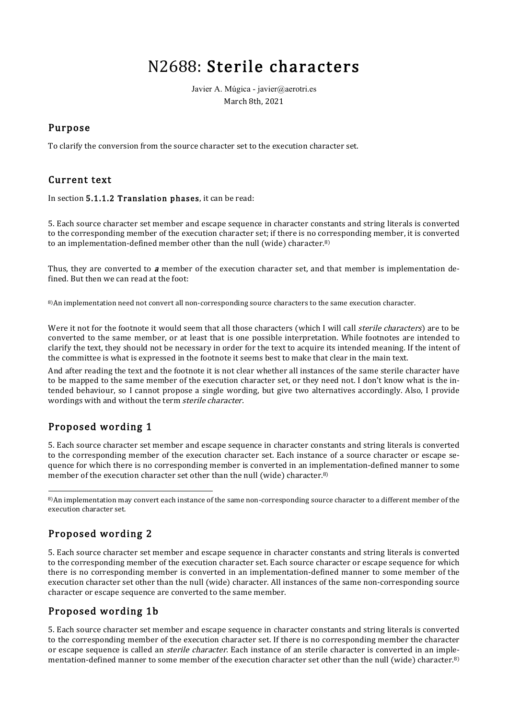# N2688: Sterile characters

Javier A. Múgica - javier@aerotri.es March 8th, 2021

#### Purpose

To clarify the conversion from the source character set to the execution character set.

#### Current text

In section 5.1.1.2 Translation phases, it can be read:

5. Each source character set member and escape sequence in character constants and string literals is converted to the corresponding member of the execution character set; if there is no corresponding member, it is converted to an implementation-defined member other than the null (wide) character.<sup>8)</sup>

Thus, they are converted to **a** member of the execution character set, and that member is implementation defined. But then we can read at the foot:

8)An implementation need not convert all non-corresponding source characters to the same execution character.

Were it not for the footnote it would seem that all those characters (which I will call *sterile characters*) are to be converted to the same member, or at least that is one possible interpretation. While footnotes are intended to clarify the text, they should not be necessary in order for the text to acquire its intended meaning. If the intent of the committee is what is expressed in the footnote it seems best to make that clear in the main text.

And after reading the text and the footnote it is not clear whether all instances of the same sterile character have to be mapped to the same member of the execution character set, or they need not. I don't know what is the intended behaviour, so I cannot propose a single wording, but give two alternatives accordingly. Also, I provide wordings with and without the term sterile character.

## Proposed wording 1

5. Each source character set member and escape sequence in character constants and string literals is converted to the corresponding member of the execution character set. Each instance of a source character or escape sequence for which there is no corresponding member is converted in an implementation-defined manner to some member of the execution character set other than the null (wide) character.<sup>8)</sup>

8)An implementation may convert each instance of the same non-corresponding source character to a different member of the execution character set.

## Proposed wording 2

5. Each source character set member and escape sequence in character constants and string literals is converted to the corresponding member of the execution character set. Each source character or escape sequence for which there is no corresponding member is converted in an implementation-defined manner to some member of the execution character set other than the null (wide) character. All instances of the same non-corresponding source character or escape sequence are converted to the same member.

#### Proposed wording 1b

5. Each source character set member and escape sequence in character constants and string literals is converted to the corresponding member of the execution character set. If there is no corresponding member the character or escape sequence is called an *sterile character*. Each instance of an sterile character is converted in an implementation-defined manner to some member of the execution character set other than the null (wide) character.8)